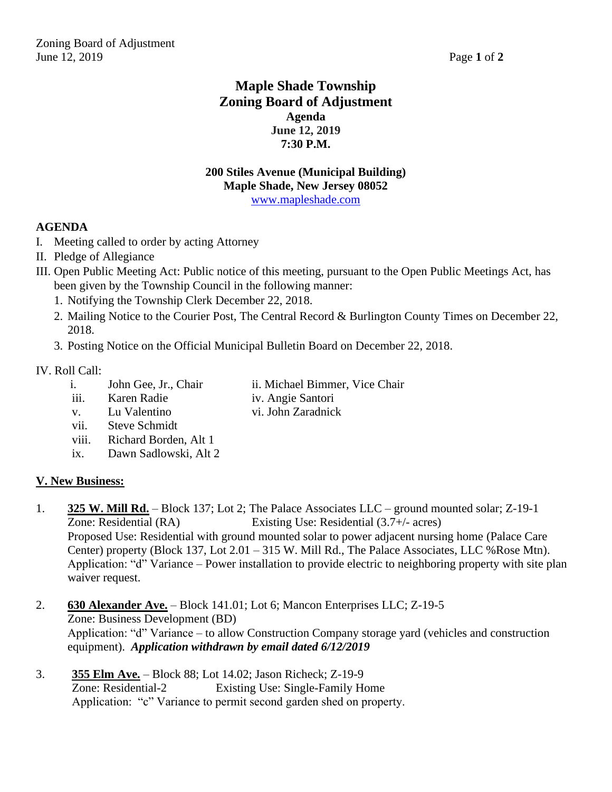# **Maple Shade Township Zoning Board of Adjustment Agenda June 12, 2019 7:30 P.M.**

#### **200 Stiles Avenue (Municipal Building) Maple Shade, New Jersey 08052** [www.mapleshade.com](http://www.mapleshade.com/)

## **AGENDA**

- I. Meeting called to order by acting Attorney
- II. Pledge of Allegiance
- III. Open Public Meeting Act: Public notice of this meeting, pursuant to the Open Public Meetings Act, has been given by the Township Council in the following manner:
	- 1. Notifying the Township Clerk December 22, 2018.
	- 2. Mailing Notice to the Courier Post, The Central Record & Burlington County Times on December 22, 2018.
	- 3. Posting Notice on the Official Municipal Bulletin Board on December 22, 2018.

#### IV. Roll Call:

- i. John Gee, Jr., Chair ii. Michael Bimmer, Vice Chair
- iii. Karen Radie iv. Angie Santori
	-
- v. Lu Valentino vi. John Zaradnick
- vii. Steve Schmidt
- viii. Richard Borden, Alt 1
- ix. Dawn Sadlowski, Alt 2

## **V. New Business:**

- 1. **325 W. Mill Rd.** Block 137; Lot 2; The Palace Associates LLC ground mounted solar; Z-19-1 Zone: Residential (RA) Existing Use: Residential (3.7+/- acres) Proposed Use: Residential with ground mounted solar to power adjacent nursing home (Palace Care Center) property (Block 137, Lot 2.01 – 315 W. Mill Rd., The Palace Associates, LLC %Rose Mtn). Application: "d" Variance – Power installation to provide electric to neighboring property with site plan waiver request.
- 2. **630 Alexander Ave.** Block 141.01; Lot 6; Mancon Enterprises LLC; Z-19-5 Zone: Business Development (BD) Application: "d" Variance – to allow Construction Company storage yard (vehicles and construction equipment). *Application withdrawn by email dated 6/12/2019*
- 3. **355 Elm Ave.** Block 88; Lot 14.02; Jason Richeck; Z-19-9 Zone: Residential-2 Existing Use: Single-Family Home Application: "c" Variance to permit second garden shed on property.